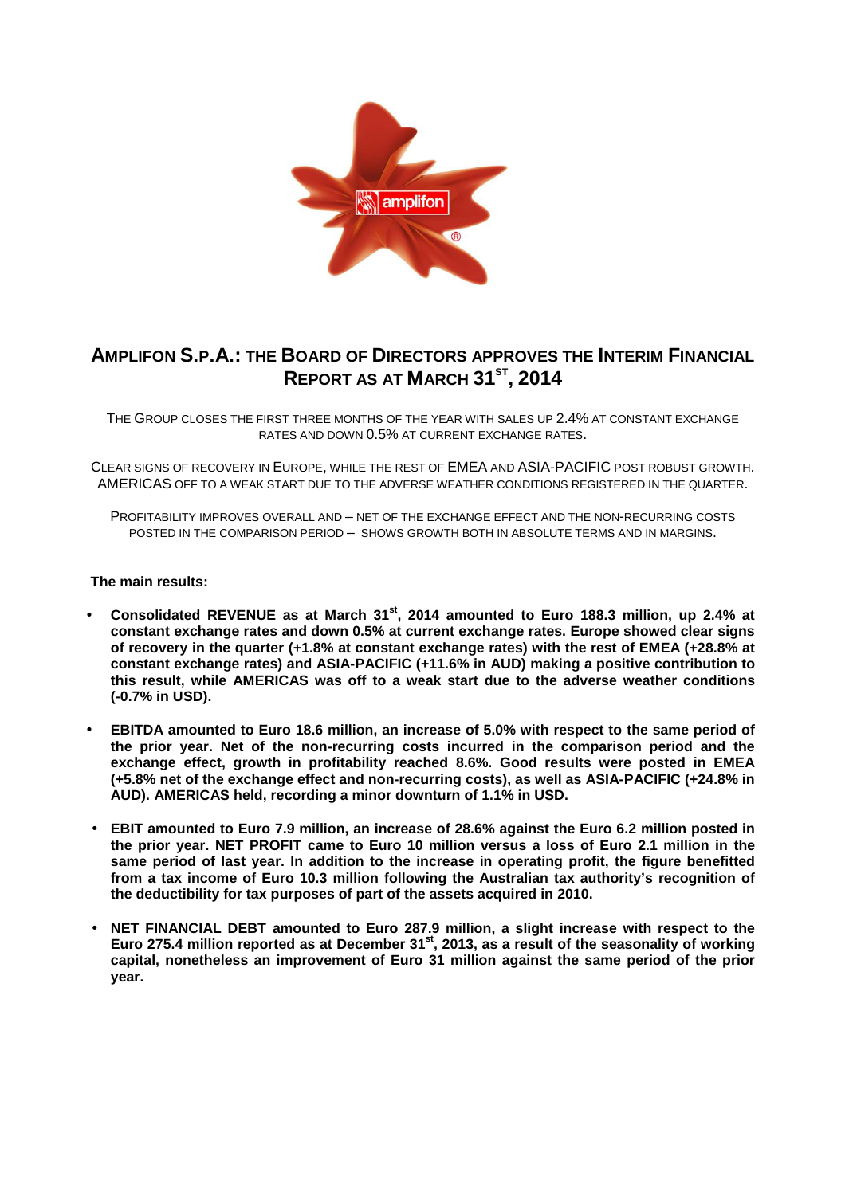

# **AMPLIFON S.P.A.: THE BOARD OF DIRECTORS APPROVES THE INTERIM FINANCIAL REPORT AS AT MARCH 31ST , 2014**

THE GROUP CLOSES THE FIRST THREE MONTHS OF THE YEAR WITH SALES UP 2.4% AT CONSTANT EXCHANGE RATES AND DOWN 0.5% AT CURRENT EXCHANGE RATES.

CLEAR SIGNS OF RECOVERY IN EUROPE, WHILE THE REST OF EMEA AND ASIA-PACIFIC POST ROBUST GROWTH. AMERICAS OFF TO A WEAK START DUE TO THE ADVERSE WEATHER CONDITIONS REGISTERED IN THE QUARTER.

PROFITABILITY IMPROVES OVERALL AND – NET OF THE EXCHANGE EFFECT AND THE NON-RECURRING COSTS POSTED IN THE COMPARISON PERIOD – SHOWS GROWTH BOTH IN ABSOLUTE TERMS AND IN MARGINS.

### **The main results:**

- **Consolidated REVENUE as at March 31st, 2014 amounted to Euro 188.3 million, up 2.4% at constant exchange rates and down 0.5% at current exchange rates. Europe showed clear signs of recovery in the quarter (+1.8% at constant exchange rates) with the rest of EMEA (+28.8% at constant exchange rates) and ASIA-PACIFIC (+11.6% in AUD) making a positive contribution to this result, while AMERICAS was off to a weak start due to the adverse weather conditions (-0.7% in USD).**
- **EBITDA amounted to Euro 18.6 million, an increase of 5.0% with respect to the same period of the prior year. Net of the non-recurring costs incurred in the comparison period and the exchange effect, growth in profitability reached 8.6%. Good results were posted in EMEA (+5.8% net of the exchange effect and non-recurring costs), as well as ASIA-PACIFIC (+24.8% in AUD). AMERICAS held, recording a minor downturn of 1.1% in USD.**
- **EBIT amounted to Euro 7.9 million, an increase of 28.6% against the Euro 6.2 million posted in the prior year. NET PROFIT came to Euro 10 million versus a loss of Euro 2.1 million in the same period of last year. In addition to the increase in operating profit, the figure benefitted from a tax income of Euro 10.3 million following the Australian tax authority's recognition of the deductibility for tax purposes of part of the assets acquired in 2010.**
- **NET FINANCIAL DEBT amounted to Euro 287.9 million, a slight increase with respect to the Euro 275.4 million reported as at December 31st, 2013, as a result of the seasonality of working capital, nonetheless an improvement of Euro 31 million against the same period of the prior year.**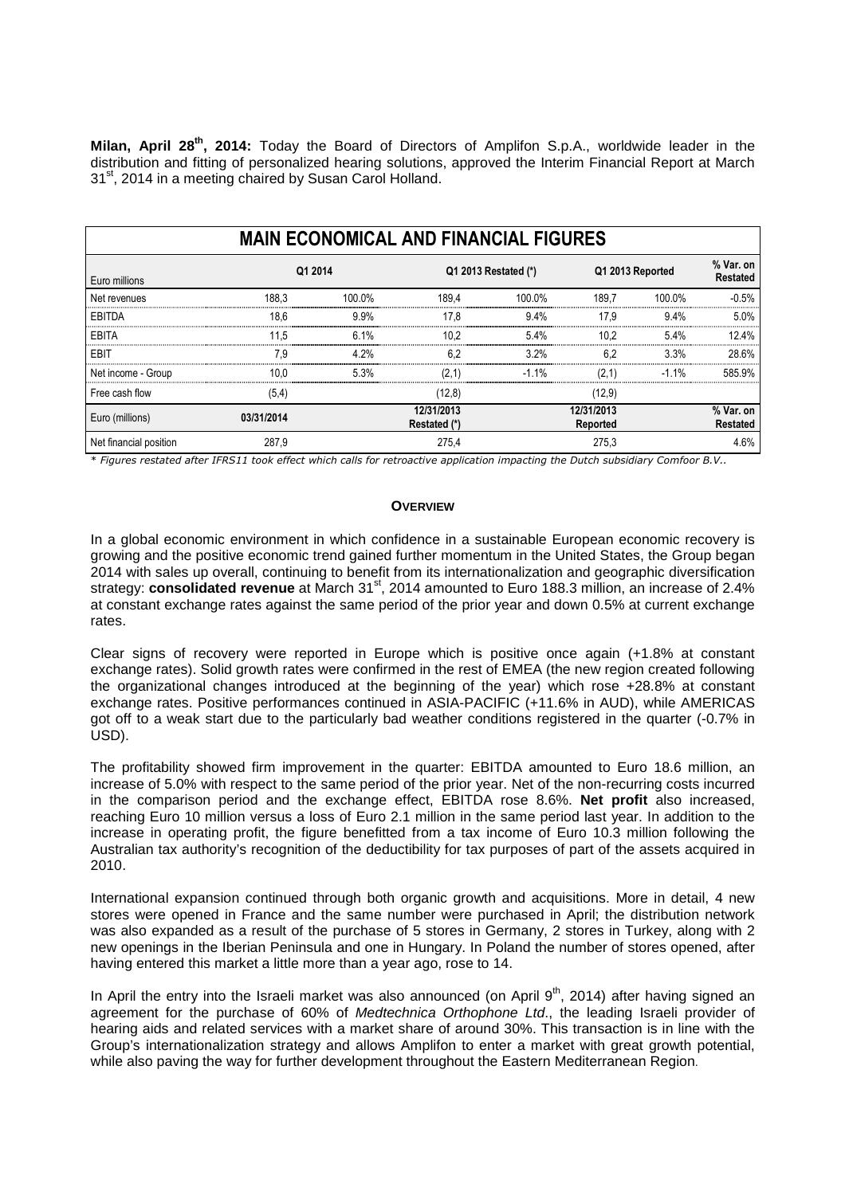**Milan, April 28th, 2014:** Today the Board of Directors of Amplifon S.p.A., worldwide leader in the distribution and fitting of personalized hearing solutions, approved the Interim Financial Report at March 31<sup>st</sup>, 2014 in a meeting chaired by Susan Carol Holland.

| <b>MAIN ECONOMICAL AND FINANCIAL FIGURES</b> |            |         |                            |                      |                        |                  |                              |  |  |
|----------------------------------------------|------------|---------|----------------------------|----------------------|------------------------|------------------|------------------------------|--|--|
| Euro millions                                |            | Q1 2014 |                            | Q1 2013 Restated (*) |                        | Q1 2013 Reported | % Var. on<br><b>Restated</b> |  |  |
| Net revenues                                 | 188.3      | 100.0%  | 189.4                      | 100.0%               | 189.7                  | 100.0%           | $-0.5%$                      |  |  |
| EBITDA                                       | 18.6       | 9.9%    | 17.8                       | 9.4%                 | 17.9                   | $9.4\%$          | 5.0%                         |  |  |
| EBITA                                        | 11.5       | 6.1%    | 10.2                       | 5.4%                 | 10.2                   | 5.4%             | 12.4%                        |  |  |
| EBIT                                         | 7.9        | 4.2%    | 6.2                        | $3.2\%$              | 6.2                    | 3.3%             | 28.6%                        |  |  |
| Net income - Group                           | 10.0       | 5.3%    | (2.1)                      | $-1.1\%$             | (2.1)                  | $-1.1\%$         | 585.9%                       |  |  |
| Free cash flow                               | (5,4)      |         | (12,8)                     |                      | (12,9)                 |                  |                              |  |  |
| Euro (millions)                              | 03/31/2014 |         | 12/31/2013<br>Restated (*) |                      | 12/31/2013<br>Reported |                  | % Var. on<br><b>Restated</b> |  |  |
| Net financial position                       | 287,9      |         | 275.4                      |                      | 275.3                  |                  | 4.6%                         |  |  |

\* *Figures restated after IFRS11 took effect which calls for retroactive application impacting the Dutch subsidiary Comfoor B.V..* 

#### **OVERVIEW**

In a global economic environment in which confidence in a sustainable European economic recovery is growing and the positive economic trend gained further momentum in the United States, the Group began 2014 with sales up overall, continuing to benefit from its internationalization and geographic diversification strategy: **consolidated revenue** at March 31<sup>st</sup>, 2014 amounted to Euro 188.3 million, an increase of 2.4% at constant exchange rates against the same period of the prior year and down 0.5% at current exchange rates.

Clear signs of recovery were reported in Europe which is positive once again (+1.8% at constant exchange rates). Solid growth rates were confirmed in the rest of EMEA (the new region created following the organizational changes introduced at the beginning of the year) which rose +28.8% at constant exchange rates. Positive performances continued in ASIA-PACIFIC (+11.6% in AUD), while AMERICAS got off to a weak start due to the particularly bad weather conditions registered in the quarter (-0.7% in USD).

The profitability showed firm improvement in the quarter: EBITDA amounted to Euro 18.6 million, an increase of 5.0% with respect to the same period of the prior year. Net of the non-recurring costs incurred in the comparison period and the exchange effect, EBITDA rose 8.6%. **Net profit** also increased, reaching Euro 10 million versus a loss of Euro 2.1 million in the same period last year. In addition to the increase in operating profit, the figure benefitted from a tax income of Euro 10.3 million following the Australian tax authority's recognition of the deductibility for tax purposes of part of the assets acquired in 2010.

International expansion continued through both organic growth and acquisitions. More in detail, 4 new stores were opened in France and the same number were purchased in April; the distribution network was also expanded as a result of the purchase of 5 stores in Germany, 2 stores in Turkey, along with 2 new openings in the Iberian Peninsula and one in Hungary. In Poland the number of stores opened, after having entered this market a little more than a year ago, rose to 14.

In April the entry into the Israeli market was also announced (on April  $9<sup>th</sup>$ , 2014) after having signed an agreement for the purchase of 60% of Medtechnica Orthophone Ltd., the leading Israeli provider of hearing aids and related services with a market share of around 30%. This transaction is in line with the Group's internationalization strategy and allows Amplifon to enter a market with great growth potential, while also paving the way for further development throughout the Eastern Mediterranean Region.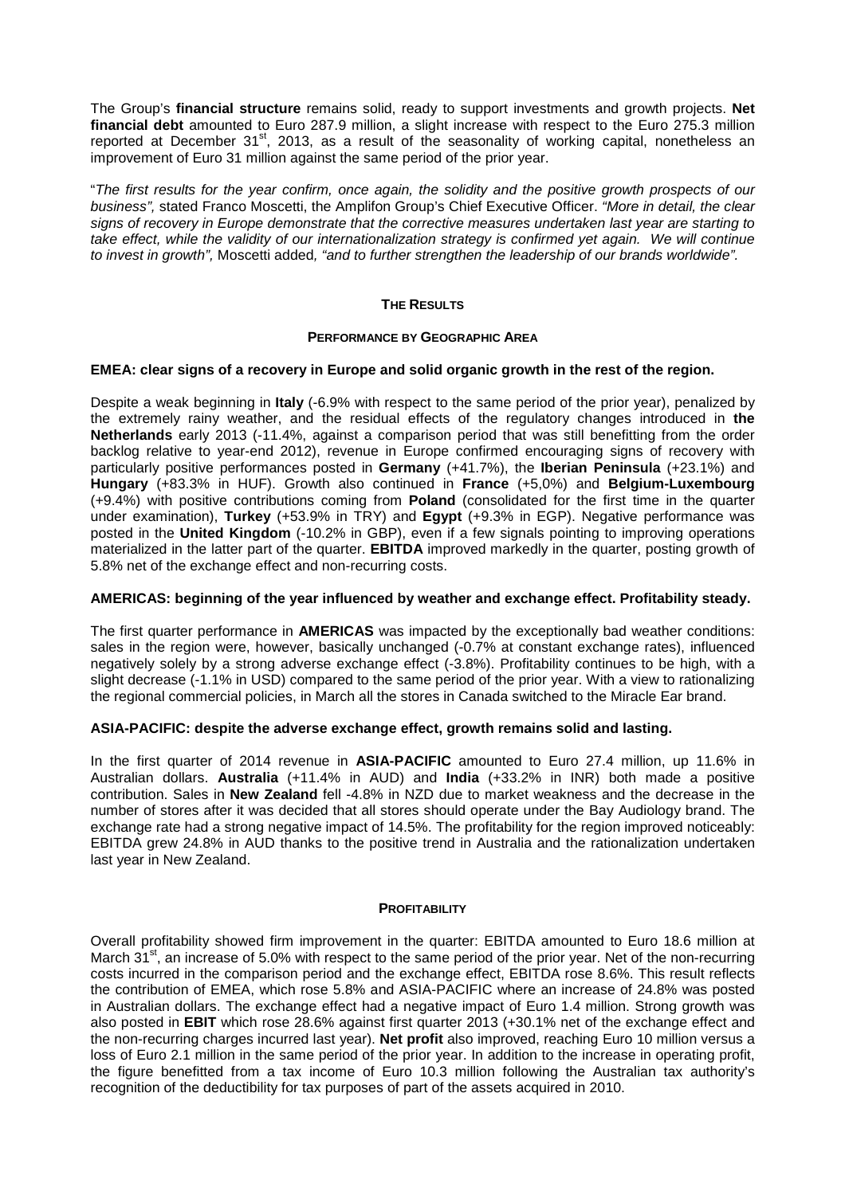The Group's **financial structure** remains solid, ready to support investments and growth projects. **Net financial debt** amounted to Euro 287.9 million, a slight increase with respect to the Euro 275.3 million reported at December 31<sup>st</sup>, 2013, as a result of the seasonality of working capital, nonetheless an improvement of Euro 31 million against the same period of the prior year.

"The first results for the year confirm, once again, the solidity and the positive growth prospects of our business", stated Franco Moscetti, the Amplifon Group's Chief Executive Officer. "More in detail, the clear signs of recovery in Europe demonstrate that the corrective measures undertaken last year are starting to take effect, while the validity of our internationalization strategy is confirmed yet again. We will continue to invest in growth", Moscetti added, "and to further strengthen the leadership of our brands worldwide".

# **THE RESULTS**

# **PERFORMANCE BY GEOGRAPHIC AREA**

#### **EMEA: clear signs of a recovery in Europe and solid organic growth in the rest of the region.**

Despite a weak beginning in **Italy** (-6.9% with respect to the same period of the prior year), penalized by the extremely rainy weather, and the residual effects of the regulatory changes introduced in **the Netherlands** early 2013 (-11.4%, against a comparison period that was still benefitting from the order backlog relative to year-end 2012), revenue in Europe confirmed encouraging signs of recovery with particularly positive performances posted in **Germany** (+41.7%), the **Iberian Peninsula** (+23.1%) and **Hungary** (+83.3% in HUF). Growth also continued in **France** (+5,0%) and **Belgium-Luxembourg** (+9.4%) with positive contributions coming from **Poland** (consolidated for the first time in the quarter under examination), **Turkey** (+53.9% in TRY) and **Egypt** (+9.3% in EGP). Negative performance was posted in the **United Kingdom** (-10.2% in GBP), even if a few signals pointing to improving operations materialized in the latter part of the quarter. **EBITDA** improved markedly in the quarter, posting growth of 5.8% net of the exchange effect and non-recurring costs.

## **AMERICAS: beginning of the year influenced by weather and exchange effect. Profitability steady.**

The first quarter performance in **AMERICAS** was impacted by the exceptionally bad weather conditions: sales in the region were, however, basically unchanged (-0.7% at constant exchange rates), influenced negatively solely by a strong adverse exchange effect (-3.8%). Profitability continues to be high, with a slight decrease (-1.1% in USD) compared to the same period of the prior year. With a view to rationalizing the regional commercial policies, in March all the stores in Canada switched to the Miracle Ear brand.

#### **ASIA-PACIFIC: despite the adverse exchange effect, growth remains solid and lasting.**

In the first quarter of 2014 revenue in **ASIA-PACIFIC** amounted to Euro 27.4 million, up 11.6% in Australian dollars. **Australia** (+11.4% in AUD) and **India** (+33.2% in INR) both made a positive contribution. Sales in **New Zealand** fell -4.8% in NZD due to market weakness and the decrease in the number of stores after it was decided that all stores should operate under the Bay Audiology brand. The exchange rate had a strong negative impact of 14.5%. The profitability for the region improved noticeably: EBITDA grew 24.8% in AUD thanks to the positive trend in Australia and the rationalization undertaken last year in New Zealand.

#### **PROFITABILITY**

Overall profitability showed firm improvement in the quarter: EBITDA amounted to Euro 18.6 million at March 31<sup>st</sup>, an increase of 5.0% with respect to the same period of the prior year. Net of the non-recurring costs incurred in the comparison period and the exchange effect, EBITDA rose 8.6%. This result reflects the contribution of EMEA, which rose 5.8% and ASIA-PACIFIC where an increase of 24.8% was posted in Australian dollars. The exchange effect had a negative impact of Euro 1.4 million. Strong growth was also posted in **EBIT** which rose 28.6% against first quarter 2013 (+30.1% net of the exchange effect and the non-recurring charges incurred last year). **Net profit** also improved, reaching Euro 10 million versus a loss of Euro 2.1 million in the same period of the prior year. In addition to the increase in operating profit, the figure benefitted from a tax income of Euro 10.3 million following the Australian tax authority's recognition of the deductibility for tax purposes of part of the assets acquired in 2010.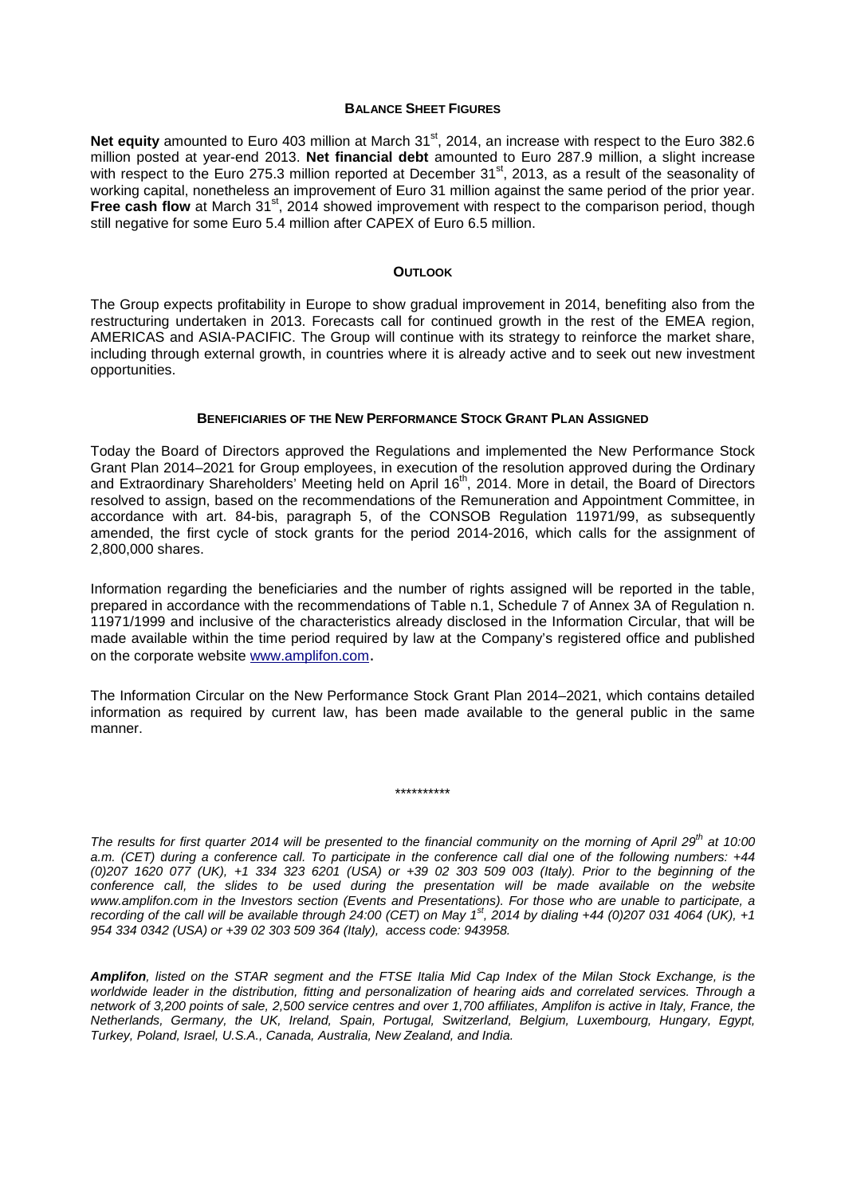#### **BALANCE SHEET FIGURES**

Net equity amounted to Euro 403 million at March 31<sup>st</sup>, 2014, an increase with respect to the Euro 382.6 million posted at year-end 2013. **Net financial debt** amounted to Euro 287.9 million, a slight increase with respect to the Euro 275.3 million reported at December 31<sup>st</sup>, 2013, as a result of the seasonality of working capital, nonetheless an improvement of Euro 31 million against the same period of the prior year. Free cash flow at March 31<sup>st</sup>, 2014 showed improvement with respect to the comparison period, though still negative for some Euro 5.4 million after CAPEX of Euro 6.5 million.

#### **OUTLOOK**

The Group expects profitability in Europe to show gradual improvement in 2014, benefiting also from the restructuring undertaken in 2013. Forecasts call for continued growth in the rest of the EMEA region, AMERICAS and ASIA-PACIFIC. The Group will continue with its strategy to reinforce the market share, including through external growth, in countries where it is already active and to seek out new investment opportunities.

#### **BENEFICIARIES OF THE NEW PERFORMANCE STOCK GRANT PLAN ASSIGNED**

Today the Board of Directors approved the Regulations and implemented the New Performance Stock Grant Plan 2014–2021 for Group employees, in execution of the resolution approved during the Ordinary and Extraordinary Shareholders' Meeting held on April 16<sup>th</sup>, 2014. More in detail, the Board of Directors resolved to assign, based on the recommendations of the Remuneration and Appointment Committee, in accordance with art. 84-bis, paragraph 5, of the CONSOB Regulation 11971/99, as subsequently amended, the first cycle of stock grants for the period 2014-2016, which calls for the assignment of 2,800,000 shares.

Information regarding the beneficiaries and the number of rights assigned will be reported in the table, prepared in accordance with the recommendations of Table n.1, Schedule 7 of Annex 3A of Regulation n. 11971/1999 and inclusive of the characteristics already disclosed in the Information Circular, that will be made available within the time period required by law at the Company's registered office and published on the corporate website www.amplifon.com.

The Information Circular on the New Performance Stock Grant Plan 2014–2021, which contains detailed information as required by current law, has been made available to the general public in the same manner.

\*\*\*\*\*\*\*\*\*\*

The results for first quarter 2014 will be presented to the financial community on the morning of April 29<sup>th</sup> at 10:00 a.m. (CET) during a conference call. To participate in the conference call dial one of the following numbers: +44 (0)207 1620 077 (UK), +1 334 323 6201 (USA) or +39 02 303 509 003 (Italy). Prior to the beginning of the conference call, the slides to be used during the presentation will be made available on the website www.amplifon.com in the Investors section (Events and Presentations). For those who are unable to participate, a recording of the call will be available through 24:00 (CET) on May 1<sup>st</sup>, 2014 by dialing +44 (0)207 031 4064 (UK), +1 954 334 0342 (USA) or +39 02 303 509 364 (Italy), access code: 943958.

**Amplifon**, listed on the STAR segment and the FTSE Italia Mid Cap Index of the Milan Stock Exchange, is the worldwide leader in the distribution, fitting and personalization of hearing aids and correlated services. Through a network of 3,200 points of sale, 2,500 service centres and over 1,700 affiliates, Amplifon is active in Italy, France, the Netherlands, Germany, the UK, Ireland, Spain, Portugal, Switzerland, Belgium, Luxembourg, Hungary, Egypt, Turkey, Poland, Israel, U.S.A., Canada, Australia, New Zealand, and India.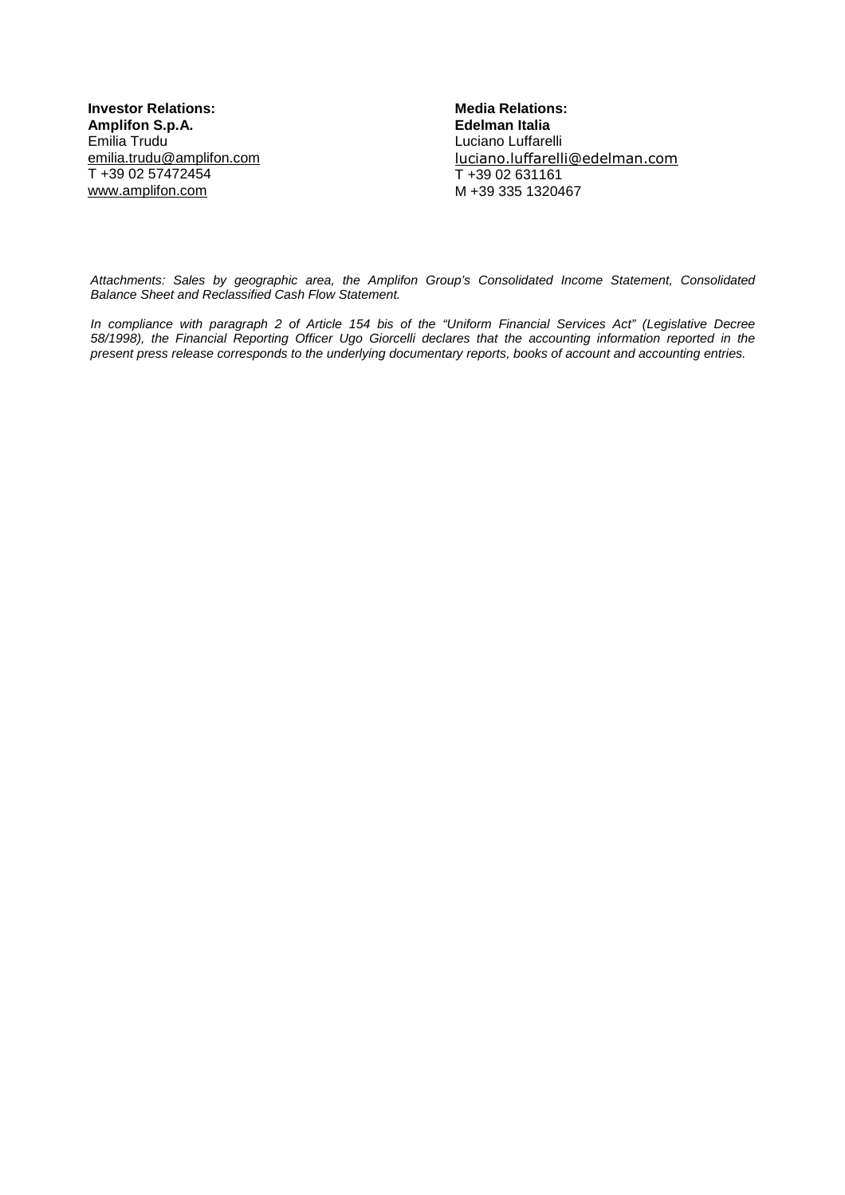**Investor Relations: Amplifon S.p.A.**  Emilia Trudu emilia.trudu@amplifon.com T +39 02 57472454 www.amplifon.com

**Media Relations: Edelman Italia**  Luciano Luffarelli luciano.luffarelli@edelman.com T +39 02 631161 M +39 335 1320467

Attachments: Sales by geographic area, the Amplifon Group's Consolidated Income Statement, Consolidated Balance Sheet and Reclassified Cash Flow Statement.

In compliance with paragraph 2 of Article 154 bis of the "Uniform Financial Services Act" (Legislative Decree 58/1998), the Financial Reporting Officer Ugo Giorcelli declares that the accounting information reported in the present press release corresponds to the underlying documentary reports, books of account and accounting entries.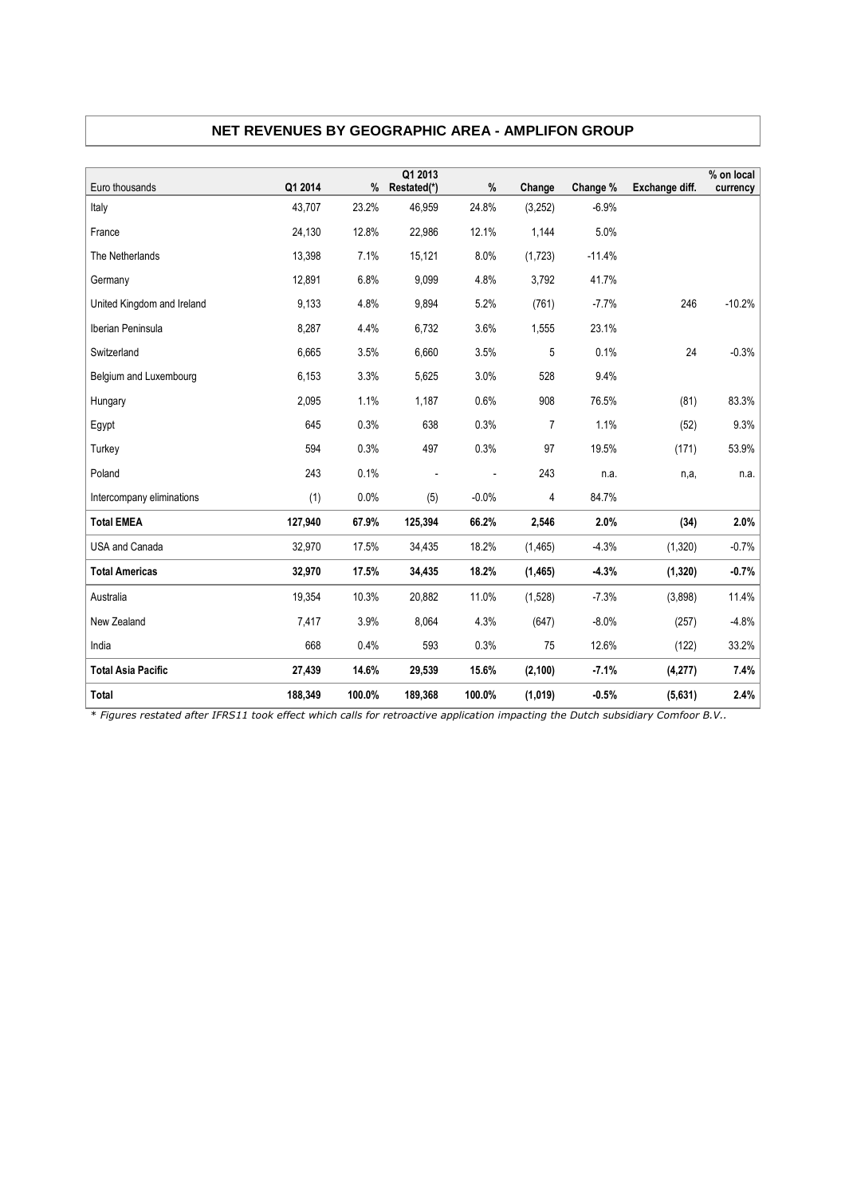| NET REVENUES BY GEOGRAPHIC AREA - AMPLIFON GROUP |  |  |  |  |  |
|--------------------------------------------------|--|--|--|--|--|
|--------------------------------------------------|--|--|--|--|--|

| Euro thousands             | Q1 2014 | %      | Q1 2013<br>Restated(*) | %              | Change         | Change % | Exchange diff. | % on local<br>currency |
|----------------------------|---------|--------|------------------------|----------------|----------------|----------|----------------|------------------------|
| Italy                      | 43.707  | 23.2%  | 46,959                 | 24.8%          | (3,252)        | $-6.9%$  |                |                        |
| France                     | 24,130  | 12.8%  | 22,986                 | 12.1%          | 1,144          | 5.0%     |                |                        |
| The Netherlands            | 13,398  | 7.1%   | 15,121                 | 8.0%           | (1,723)        | $-11.4%$ |                |                        |
| Germany                    | 12,891  | 6.8%   | 9,099                  | 4.8%           | 3,792          | 41.7%    |                |                        |
| United Kingdom and Ireland | 9,133   | 4.8%   | 9,894                  | 5.2%           | (761)          | $-7.7%$  | 246            | $-10.2%$               |
| Iberian Peninsula          | 8,287   | 4.4%   | 6,732                  | 3.6%           | 1,555          | 23.1%    |                |                        |
| Switzerland                | 6,665   | 3.5%   | 6,660                  | 3.5%           | 5              | 0.1%     | 24             | $-0.3%$                |
| Belgium and Luxembourg     | 6,153   | 3.3%   | 5,625                  | 3.0%           | 528            | 9.4%     |                |                        |
|                            |         |        |                        |                |                |          |                |                        |
| Hungary                    | 2,095   | 1.1%   | 1,187                  | 0.6%           | 908            | 76.5%    | (81)           | 83.3%                  |
| Egypt                      | 645     | 0.3%   | 638                    | 0.3%           | $\overline{7}$ | 1.1%     | (52)           | 9.3%                   |
| Turkey                     | 594     | 0.3%   | 497                    | 0.3%           | 97             | 19.5%    | (171)          | 53.9%                  |
| Poland                     | 243     | 0.1%   |                        | $\overline{a}$ | 243            | n.a.     | n,a,           | n.a.                   |
| Intercompany eliminations  | (1)     | 0.0%   | (5)                    | $-0.0%$        | 4              | 84.7%    |                |                        |
| <b>Total EMEA</b>          | 127,940 | 67.9%  | 125,394                | 66.2%          | 2,546          | 2.0%     | (34)           | 2.0%                   |
| <b>USA and Canada</b>      | 32,970  | 17.5%  | 34,435                 | 18.2%          | (1,465)        | $-4.3%$  | (1,320)        | $-0.7%$                |
| <b>Total Americas</b>      | 32,970  | 17.5%  | 34,435                 | 18.2%          | (1, 465)       | $-4.3%$  | (1, 320)       | $-0.7%$                |
| Australia                  | 19,354  | 10.3%  | 20,882                 | 11.0%          | (1,528)        | $-7.3%$  | (3,898)        | 11.4%                  |
| New Zealand                | 7,417   | 3.9%   | 8,064                  | 4.3%           | (647)          | $-8.0%$  | (257)          | $-4.8%$                |
| India                      | 668     | 0.4%   | 593                    | 0.3%           | 75             | 12.6%    | (122)          | 33.2%                  |
| <b>Total Asia Pacific</b>  | 27,439  | 14.6%  | 29,539                 | 15.6%          | (2, 100)       | $-7.1%$  | (4,277)        | 7.4%                   |
| Total                      | 188,349 | 100.0% | 189,368                | 100.0%         | (1,019)        | $-0.5%$  | (5,631)        | 2.4%                   |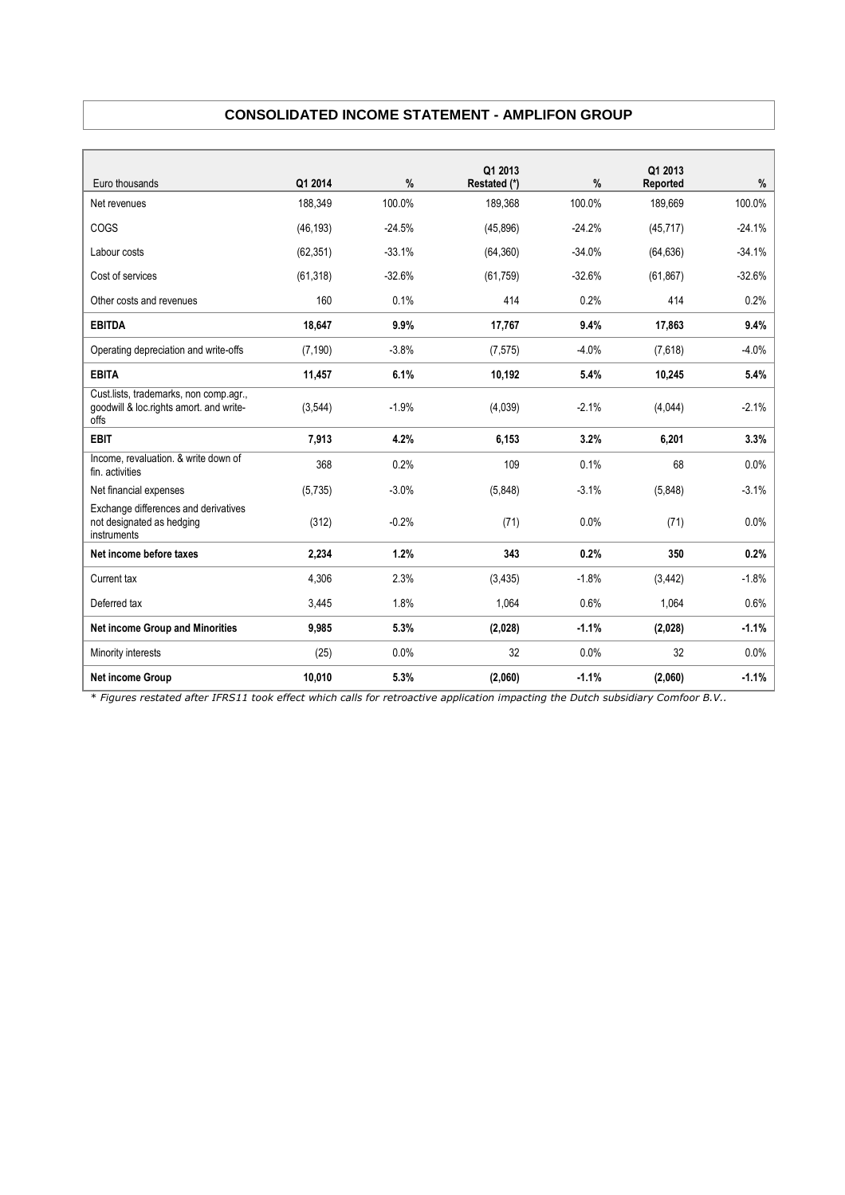# **CONSOLIDATED INCOME STATEMENT - AMPLIFON GROUP**

|                                                                                           |           |               | Q1 2013      |          | Q1 2013   |          |
|-------------------------------------------------------------------------------------------|-----------|---------------|--------------|----------|-----------|----------|
| Euro thousands                                                                            | Q1 2014   | $\frac{9}{6}$ | Restated (*) | %        | Reported  | $\%$     |
| Net revenues                                                                              | 188,349   | 100.0%        | 189,368      | 100.0%   | 189,669   | 100.0%   |
| COGS                                                                                      | (46, 193) | $-24.5%$      | (45,896)     | $-24.2%$ | (45, 717) | $-24.1%$ |
| Labour costs                                                                              | (62, 351) | $-33.1%$      | (64, 360)    | $-34.0%$ | (64, 636) | $-34.1%$ |
| Cost of services                                                                          | (61, 318) | $-32.6%$      | (61, 759)    | $-32.6%$ | (61, 867) | $-32.6%$ |
| Other costs and revenues                                                                  | 160       | 0.1%          | 414          | 0.2%     | 414       | 0.2%     |
| <b>EBITDA</b>                                                                             | 18,647    | 9.9%          | 17,767       | 9.4%     | 17,863    | 9.4%     |
| Operating depreciation and write-offs                                                     | (7, 190)  | $-3.8%$       | (7, 575)     | $-4.0%$  | (7,618)   | $-4.0%$  |
| <b>EBITA</b>                                                                              | 11,457    | 6.1%          | 10,192       | 5.4%     | 10,245    | 5.4%     |
| Cust.lists, trademarks, non comp.agr.,<br>goodwill & loc.rights amort. and write-<br>offs | (3,544)   | $-1.9%$       | (4,039)      | $-2.1%$  | (4,044)   | $-2.1%$  |
| <b>EBIT</b>                                                                               | 7,913     | 4.2%          | 6,153        | 3.2%     | 6,201     | 3.3%     |
| Income, revaluation. & write down of<br>fin. activities                                   | 368       | 0.2%          | 109          | 0.1%     | 68        | 0.0%     |
| Net financial expenses                                                                    | (5,735)   | $-3.0%$       | (5,848)      | $-3.1%$  | (5,848)   | $-3.1%$  |
| Exchange differences and derivatives<br>not designated as hedging<br>instruments          | (312)     | $-0.2%$       | (71)         | 0.0%     | (71)      | 0.0%     |
| Net income before taxes                                                                   | 2,234     | 1.2%          | 343          | 0.2%     | 350       | 0.2%     |
| Current tax                                                                               | 4,306     | 2.3%          | (3, 435)     | $-1.8%$  | (3, 442)  | $-1.8%$  |
| Deferred tax                                                                              | 3,445     | 1.8%          | 1,064        | 0.6%     | 1,064     | 0.6%     |
| <b>Net income Group and Minorities</b>                                                    | 9.985     | 5.3%          | (2,028)      | $-1.1%$  | (2,028)   | $-1.1%$  |
| Minority interests                                                                        | (25)      | 0.0%          | 32           | 0.0%     | 32        | 0.0%     |
| Net income Group                                                                          | 10,010    | 5.3%          | (2,060)      | $-1.1%$  | (2,060)   | $-1.1%$  |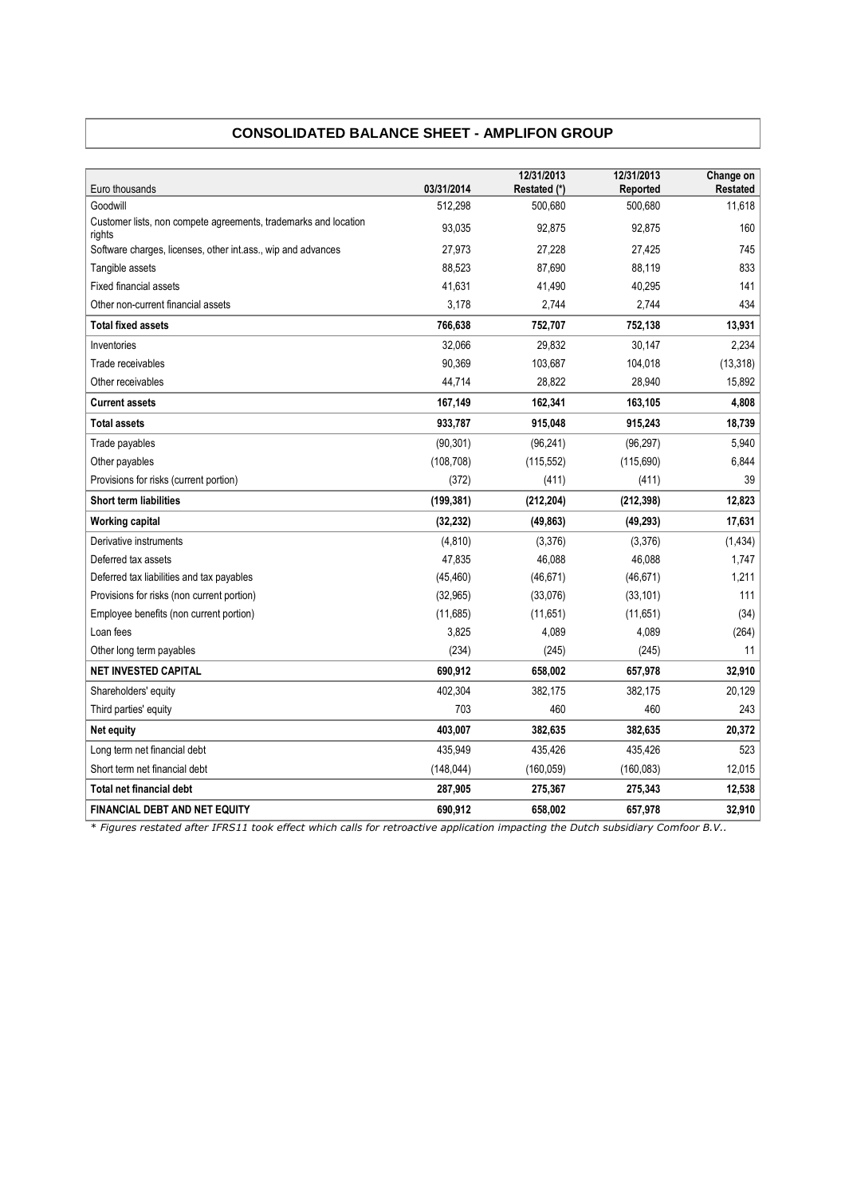# **CONSOLIDATED BALANCE SHEET - AMPLIFON GROUP**

| Euro thousands                                                            | 03/31/2014 | 12/31/2013<br>Restated (*) | 12/31/2013<br>Reported | Change on<br>Restated |
|---------------------------------------------------------------------------|------------|----------------------------|------------------------|-----------------------|
| Goodwill                                                                  | 512,298    | 500,680                    | 500,680                | 11,618                |
| Customer lists, non compete agreements, trademarks and location<br>rights | 93,035     | 92,875                     | 92,875                 | 160                   |
| Software charges, licenses, other int.ass., wip and advances              | 27,973     | 27,228                     | 27,425                 | 745                   |
| Tangible assets                                                           | 88,523     | 87,690                     | 88.119                 | 833                   |
| <b>Fixed financial assets</b>                                             | 41,631     | 41,490                     | 40,295                 | 141                   |
| Other non-current financial assets                                        | 3,178      | 2,744                      | 2,744                  | 434                   |
| <b>Total fixed assets</b>                                                 | 766,638    | 752,707                    | 752,138                | 13,931                |
| Inventories                                                               | 32,066     | 29,832                     | 30,147                 | 2,234                 |
| Trade receivables                                                         | 90,369     | 103,687                    | 104,018                | (13, 318)             |
| Other receivables                                                         | 44,714     | 28,822                     | 28,940                 | 15,892                |
| <b>Current assets</b>                                                     | 167,149    | 162,341                    | 163,105                | 4,808                 |
| <b>Total assets</b>                                                       | 933,787    | 915,048                    | 915,243                | 18,739                |
| Trade payables                                                            | (90, 301)  | (96, 241)                  | (96, 297)              | 5,940                 |
| Other payables                                                            | (108, 708) | (115, 552)                 | (115, 690)             | 6,844                 |
| Provisions for risks (current portion)                                    | (372)      | (411)                      | (411)                  | 39                    |
| <b>Short term liabilities</b>                                             | (199, 381) | (212, 204)                 | (212, 398)             | 12,823                |
| <b>Working capital</b>                                                    | (32, 232)  | (49, 863)                  | (49, 293)              | 17,631                |
| Derivative instruments                                                    | (4, 810)   | (3,376)                    | (3,376)                | (1, 434)              |
| Deferred tax assets                                                       | 47,835     | 46,088                     | 46,088                 | 1,747                 |
| Deferred tax liabilities and tax payables                                 | (45, 460)  | (46, 671)                  | (46, 671)              | 1,211                 |
| Provisions for risks (non current portion)                                | (32, 965)  | (33,076)                   | (33, 101)              | 111                   |
| Employee benefits (non current portion)                                   | (11,685)   | (11,651)                   | (11, 651)              | (34)                  |
| Loan fees                                                                 | 3,825      | 4,089                      | 4,089                  | (264)                 |
| Other long term payables                                                  | (234)      | (245)                      | (245)                  | 11                    |
| <b>NET INVESTED CAPITAL</b>                                               | 690,912    | 658,002                    | 657,978                | 32,910                |
| Shareholders' equity                                                      | 402,304    | 382,175                    | 382,175                | 20,129                |
| Third parties' equity                                                     | 703        | 460                        | 460                    | 243                   |
| <b>Net equity</b>                                                         | 403,007    | 382,635                    | 382,635                | 20,372                |
| Long term net financial debt                                              | 435,949    | 435,426                    | 435,426                | 523                   |
| Short term net financial debt                                             | (148, 044) | (160, 059)                 | (160, 083)             | 12,015                |
| <b>Total net financial debt</b>                                           | 287,905    | 275,367                    | 275,343                | 12,538                |
| <b>FINANCIAL DEBT AND NET EQUITY</b>                                      | 690,912    | 658,002                    | 657,978                | 32,910                |